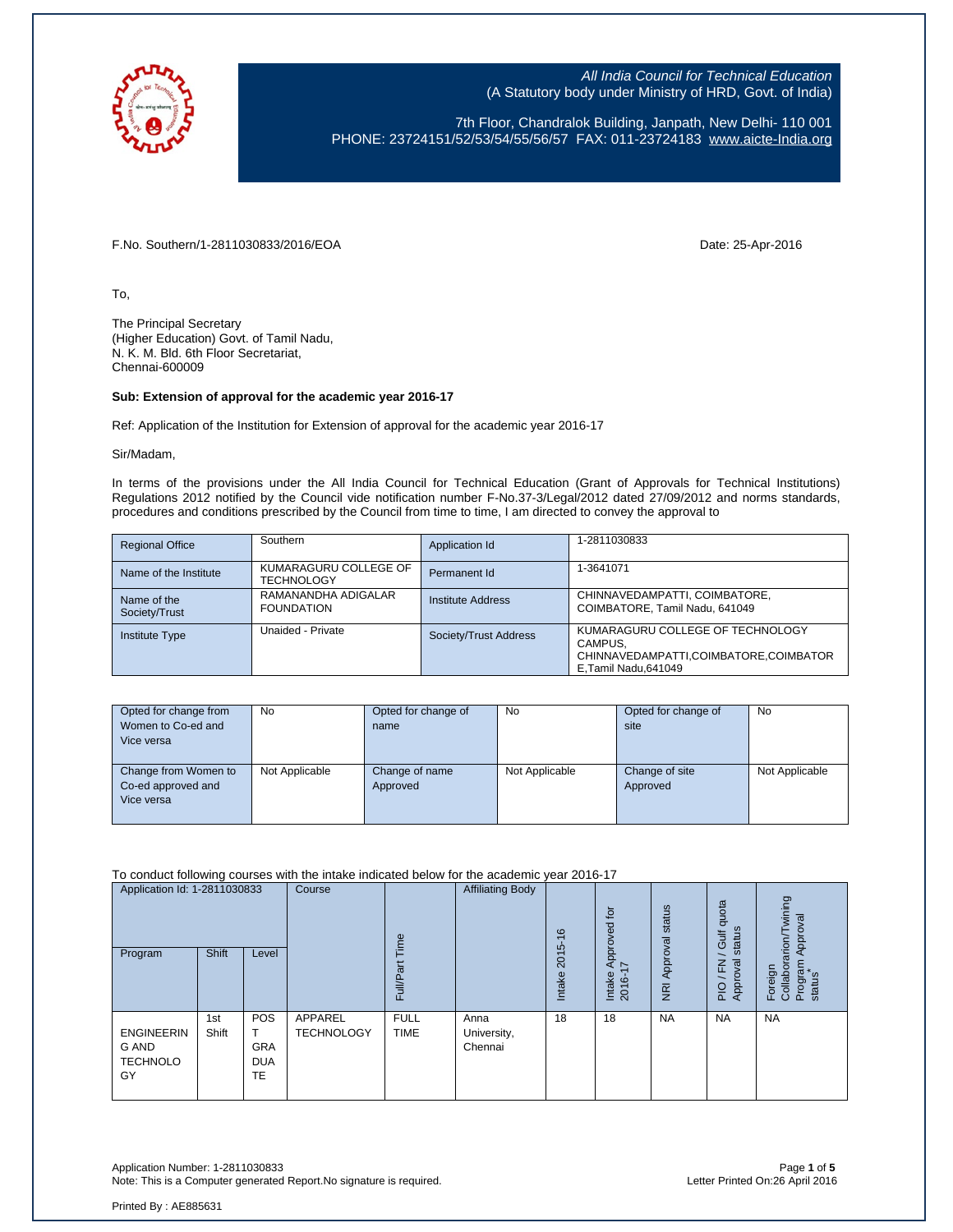

7th Floor, Chandralok Building, Janpath, New Delhi- 110 001 PHONE: 23724151/52/53/54/55/56/57 FAX: 011-23724183 [www.aicte-India.org](http://www.aicte-india.org/)

F.No. Southern/1-2811030833/2016/EOA Date: 25-Apr-2016

To,

The Principal Secretary (Higher Education) Govt. of Tamil Nadu, N. K. M. Bld. 6th Floor Secretariat, Chennai-600009

#### **Sub: Extension of approval for the academic year 2016-17**

Ref: Application of the Institution for Extension of approval for the academic year 2016-17

Sir/Madam,

In terms of the provisions under the All India Council for Technical Education (Grant of Approvals for Technical Institutions) Regulations 2012 notified by the Council vide notification number F-No.37-3/Legal/2012 dated 27/09/2012 and norms standards, procedures and conditions prescribed by the Council from time to time, I am directed to convey the approval to

| <b>Regional Office</b>       | Southern                                   | Application Id           | 1-2811030833                                                                                                  |
|------------------------------|--------------------------------------------|--------------------------|---------------------------------------------------------------------------------------------------------------|
| Name of the Institute        | KUMARAGURU COLLEGE OF<br><b>TECHNOLOGY</b> | Permanent Id             | 1-3641071                                                                                                     |
| Name of the<br>Society/Trust | RAMANANDHA ADIGALAR<br><b>FOUNDATION</b>   | <b>Institute Address</b> | CHINNAVEDAMPATTI, COIMBATORE,<br>COIMBATORE, Tamil Nadu, 641049                                               |
| <b>Institute Type</b>        | Unaided - Private                          | Society/Trust Address    | KUMARAGURU COLLEGE OF TECHNOLOGY<br>CAMPUS.<br>CHINNAVEDAMPATTI,COIMBATORE,COIMBATOR<br>E, Tamil Nadu, 641049 |

| Opted for change from<br>Women to Co-ed and<br>Vice versa | <b>No</b>      | Opted for change of<br>name | <b>No</b>      | Opted for change of<br>site | <b>No</b>      |
|-----------------------------------------------------------|----------------|-----------------------------|----------------|-----------------------------|----------------|
| Change from Women to<br>Co-ed approved and<br>Vice versa  | Not Applicable | Change of name<br>Approved  | Not Applicable | Change of site<br>Approved  | Not Applicable |

#### To conduct following courses with the intake indicated below for the academic year 2016-17

| Application Id: 1-2811030833<br>Program                    | Shift        | Level                                 | Course                       | Time<br>āť<br>Full/P <sub>3</sub> | <b>Affiliating Body</b>        | $\frac{6}{5}$<br>2015<br>Intake | $\overline{5}$<br>Approved<br>$\overline{\phantom{0}}$<br>Intake<br>2016-1 | NRI Approval status | quota<br>status<br>Gulf<br><b>z</b><br>준<br>Approv<br>$\frac{1}{2}$ | wining<br>Approval<br>Foreign<br>Collaborarion/T\<br>Program<br>status |
|------------------------------------------------------------|--------------|---------------------------------------|------------------------------|-----------------------------------|--------------------------------|---------------------------------|----------------------------------------------------------------------------|---------------------|---------------------------------------------------------------------|------------------------------------------------------------------------|
| <b>ENGINEERIN</b><br><b>G AND</b><br><b>TECHNOLO</b><br>GY | 1st<br>Shift | POS<br><b>GRA</b><br><b>DUA</b><br>TE | APPAREL<br><b>TECHNOLOGY</b> | <b>FULL</b><br><b>TIME</b>        | Anna<br>University,<br>Chennai | 18                              | 18                                                                         | <b>NA</b>           | <b>NA</b>                                                           | <b>NA</b>                                                              |

Application Number: 1-2811030833 Page **1** of **5** Note: This is a Computer generated Report. No signature is required.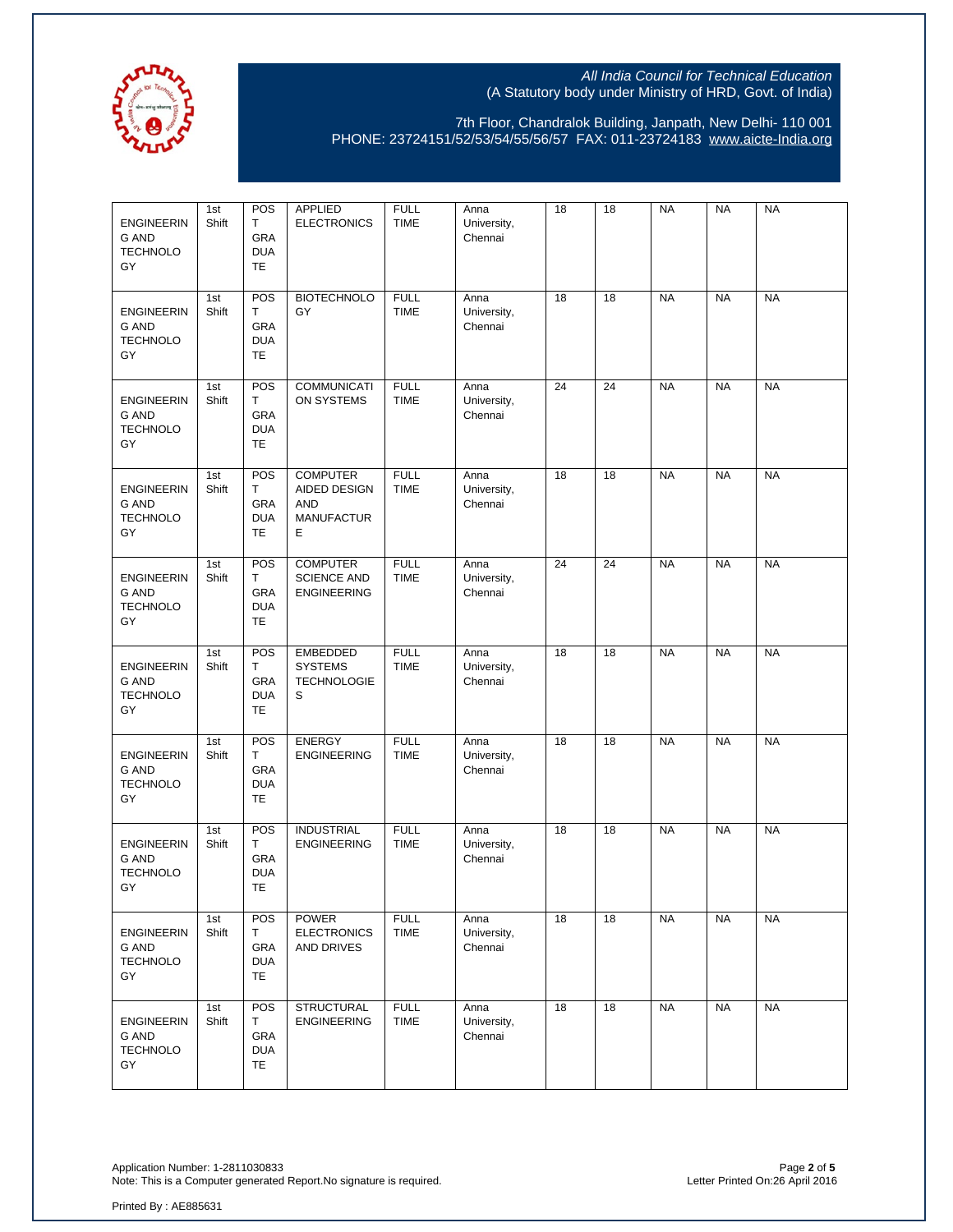

7th Floor, Chandralok Building, Janpath, New Delhi- 110 001 PHONE: 23724151/52/53/54/55/56/57 FAX: 011-23724183 [www.aicte-India.org](http://www.aicte-india.org/)

| <b>ENGINEERIN</b><br><b>G AND</b><br><b>TECHNOLO</b><br>GY | 1st<br>Shift | POS<br>т<br>GRA<br><b>DUA</b><br><b>TE</b>  | <b>APPLIED</b><br><b>ELECTRONICS</b>                                    | <b>FULL</b><br><b>TIME</b> | Anna<br>University,<br>Chennai | 18 | 18 | <b>NA</b> | <b>NA</b> | <b>NA</b> |
|------------------------------------------------------------|--------------|---------------------------------------------|-------------------------------------------------------------------------|----------------------------|--------------------------------|----|----|-----------|-----------|-----------|
| <b>ENGINEERIN</b><br><b>G AND</b><br><b>TECHNOLO</b><br>GY | 1st<br>Shift | POS<br>T<br>GRA<br><b>DUA</b><br><b>TE</b>  | <b>BIOTECHNOLO</b><br>GY                                                | <b>FULL</b><br><b>TIME</b> | Anna<br>University,<br>Chennai | 18 | 18 | <b>NA</b> | <b>NA</b> | <b>NA</b> |
| <b>ENGINEERIN</b><br><b>G AND</b><br><b>TECHNOLO</b><br>GY | 1st<br>Shift | POS<br>T.<br>GRA<br><b>DUA</b><br><b>TE</b> | <b>COMMUNICATI</b><br>ON SYSTEMS                                        | <b>FULL</b><br><b>TIME</b> | Anna<br>University,<br>Chennai | 24 | 24 | <b>NA</b> | <b>NA</b> | <b>NA</b> |
| <b>ENGINEERIN</b><br><b>G AND</b><br><b>TECHNOLO</b><br>GY | 1st<br>Shift | POS<br>T<br>GRA<br><b>DUA</b><br><b>TE</b>  | <b>COMPUTER</b><br>AIDED DESIGN<br><b>AND</b><br><b>MANUFACTUR</b><br>Е | <b>FULL</b><br><b>TIME</b> | Anna<br>University,<br>Chennai | 18 | 18 | <b>NA</b> | <b>NA</b> | <b>NA</b> |
| <b>ENGINEERIN</b><br><b>G AND</b><br><b>TECHNOLO</b><br>GY | 1st<br>Shift | POS<br>T<br>GRA<br><b>DUA</b><br><b>TE</b>  | <b>COMPUTER</b><br><b>SCIENCE AND</b><br><b>ENGINEERING</b>             | <b>FULL</b><br><b>TIME</b> | Anna<br>University,<br>Chennai | 24 | 24 | <b>NA</b> | <b>NA</b> | <b>NA</b> |
| <b>ENGINEERIN</b><br><b>G AND</b><br><b>TECHNOLO</b><br>GY | 1st<br>Shift | POS<br>T<br>GRA<br><b>DUA</b><br>TE         | <b>EMBEDDED</b><br><b>SYSTEMS</b><br><b>TECHNOLOGIE</b><br>S            | <b>FULL</b><br>TIME        | Anna<br>University,<br>Chennai | 18 | 18 | <b>NA</b> | <b>NA</b> | <b>NA</b> |
| <b>ENGINEERIN</b><br><b>G AND</b><br><b>TECHNOLO</b><br>GY | 1st<br>Shift | POS<br>T<br>GRA<br><b>DUA</b><br><b>TE</b>  | <b>ENERGY</b><br><b>ENGINEERING</b>                                     | <b>FULL</b><br><b>TIME</b> | Anna<br>University,<br>Chennai | 18 | 18 | <b>NA</b> | <b>NA</b> | <b>NA</b> |
| <b>ENGINEERIN</b><br><b>G AND</b><br><b>TECHNOLO</b><br>GY | 1st<br>Shift | POS<br>T<br>GRA<br><b>DUA</b><br>TE         | <b>INDUSTRIAL</b><br><b>ENGINEERING</b>                                 | <b>FULL</b><br>TIME        | Anna<br>University,<br>Chennai | 18 | 18 | <b>NA</b> | <b>NA</b> | <b>NA</b> |
| <b>ENGINEERIN</b><br>G AND<br><b>TECHNOLO</b><br>GY        | 1st<br>Shift | POS<br>Τ<br>GRA<br><b>DUA</b><br><b>TE</b>  | <b>POWER</b><br><b>ELECTRONICS</b><br>AND DRIVES                        | <b>FULL</b><br><b>TIME</b> | Anna<br>University,<br>Chennai | 18 | 18 | <b>NA</b> | <b>NA</b> | <b>NA</b> |
| <b>ENGINEERIN</b><br>G AND<br><b>TECHNOLO</b><br>GY        | 1st<br>Shift | POS<br>T<br>GRA<br><b>DUA</b><br>TE.        | <b>STRUCTURAL</b><br><b>ENGINEERING</b>                                 | <b>FULL</b><br><b>TIME</b> | Anna<br>University,<br>Chennai | 18 | 18 | <b>NA</b> | <b>NA</b> | <b>NA</b> |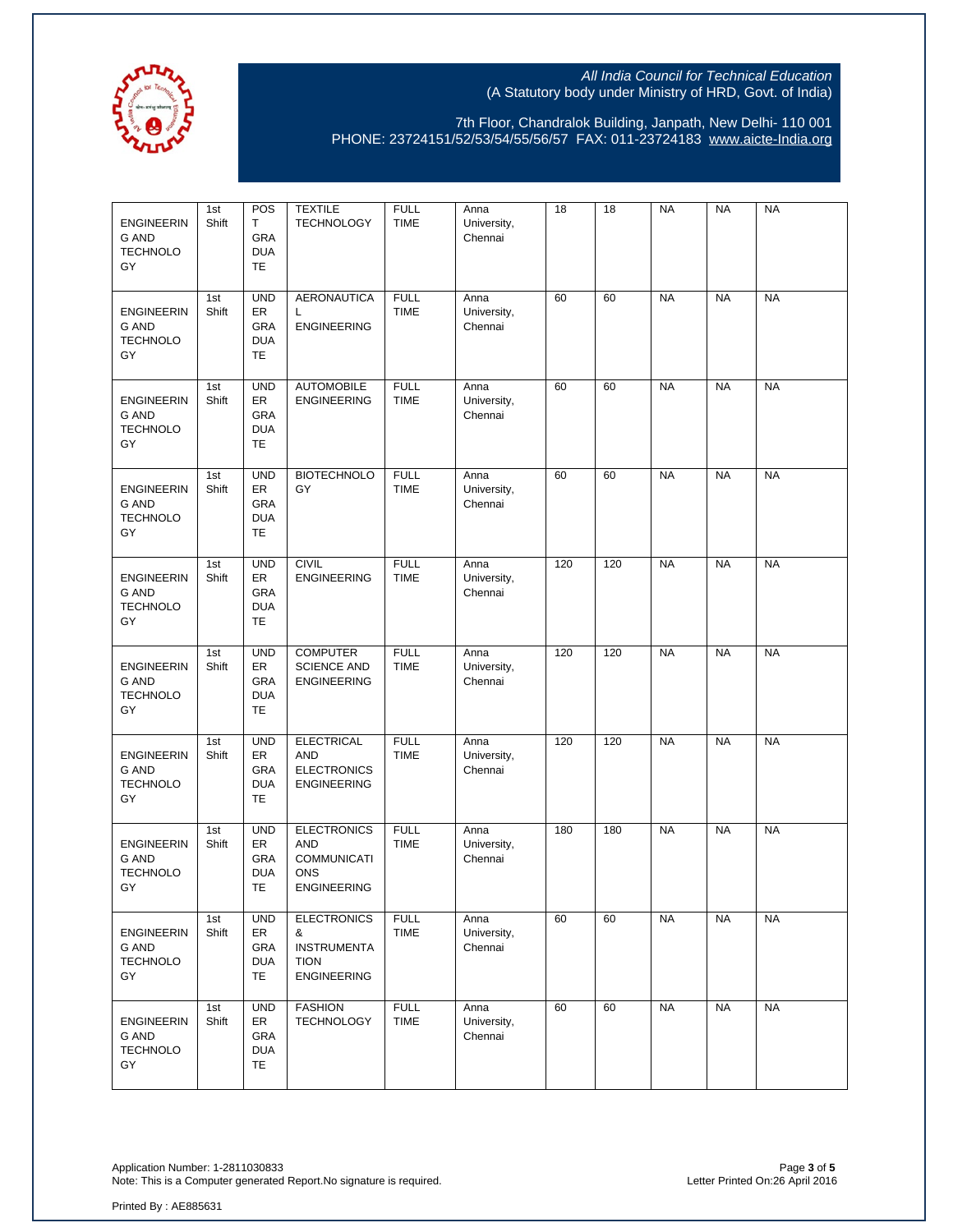

7th Floor, Chandralok Building, Janpath, New Delhi- 110 001 PHONE: 23724151/52/53/54/55/56/57 FAX: 011-23724183 [www.aicte-India.org](http://www.aicte-india.org/)

| <b>ENGINEERIN</b><br><b>G AND</b><br><b>TECHNOLO</b><br>GY | 1st<br>Shift | POS<br>Т<br>GRA<br><b>DUA</b><br><b>TE</b>          | <b>TEXTILE</b><br><b>TECHNOLOGY</b>                                                        | <b>FULL</b><br><b>TIME</b> | Anna<br>University,<br>Chennai | 18  | 18  | <b>NA</b> | <b>NA</b> | <b>NA</b> |
|------------------------------------------------------------|--------------|-----------------------------------------------------|--------------------------------------------------------------------------------------------|----------------------------|--------------------------------|-----|-----|-----------|-----------|-----------|
| <b>ENGINEERIN</b><br><b>G AND</b><br><b>TECHNOLO</b><br>GY | 1st<br>Shift | <b>UND</b><br>ER<br>GRA<br><b>DUA</b><br>TE         | <b>AERONAUTICA</b><br>L<br><b>ENGINEERING</b>                                              | <b>FULL</b><br><b>TIME</b> | Anna<br>University,<br>Chennai | 60  | 60  | <b>NA</b> | <b>NA</b> | <b>NA</b> |
| <b>ENGINEERIN</b><br><b>G AND</b><br><b>TECHNOLO</b><br>GY | 1st<br>Shift | <b>UND</b><br>ER<br>GRA<br><b>DUA</b><br><b>TE</b>  | <b>AUTOMOBILE</b><br><b>ENGINEERING</b>                                                    | <b>FULL</b><br><b>TIME</b> | Anna<br>University,<br>Chennai | 60  | 60  | <b>NA</b> | <b>NA</b> | <b>NA</b> |
| <b>ENGINEERIN</b><br><b>G AND</b><br><b>TECHNOLO</b><br>GY | 1st<br>Shift | <b>UND</b><br>ER<br>GRA<br><b>DUA</b><br>TE         | <b>BIOTECHNOLO</b><br>GY                                                                   | <b>FULL</b><br><b>TIME</b> | Anna<br>University,<br>Chennai | 60  | 60  | <b>NA</b> | <b>NA</b> | <b>NA</b> |
| <b>ENGINEERIN</b><br><b>G AND</b><br><b>TECHNOLO</b><br>GY | 1st<br>Shift | <b>UND</b><br>ER<br>GRA<br><b>DUA</b><br><b>TE</b>  | <b>CIVIL</b><br><b>ENGINEERING</b>                                                         | <b>FULL</b><br><b>TIME</b> | Anna<br>University,<br>Chennai | 120 | 120 | <b>NA</b> | <b>NA</b> | <b>NA</b> |
| <b>ENGINEERIN</b><br><b>G AND</b><br><b>TECHNOLO</b><br>GY | 1st<br>Shift | <b>UND</b><br>ER<br>GRA<br><b>DUA</b><br>TE         | <b>COMPUTER</b><br><b>SCIENCE AND</b><br><b>ENGINEERING</b>                                | <b>FULL</b><br><b>TIME</b> | Anna<br>University,<br>Chennai | 120 | 120 | <b>NA</b> | <b>NA</b> | <b>NA</b> |
| <b>ENGINEERIN</b><br><b>G AND</b><br><b>TECHNOLO</b><br>GY | 1st<br>Shift | <b>UND</b><br>ER<br>GRA<br><b>DUA</b><br><b>TE</b>  | <b>ELECTRICAL</b><br><b>AND</b><br><b>ELECTRONICS</b><br><b>ENGINEERING</b>                | <b>FULL</b><br><b>TIME</b> | Anna<br>University,<br>Chennai | 120 | 120 | <b>NA</b> | <b>NA</b> | <b>NA</b> |
| <b>ENGINEERIN</b><br><b>G AND</b><br><b>TECHNOLO</b><br>GY | 1st<br>Shift | <b>UND</b><br>ER<br><b>GRA</b><br><b>DUA</b><br>TE  | <b>ELECTRONICS</b><br><b>AND</b><br><b>COMMUNICATI</b><br><b>ONS</b><br><b>ENGINEERING</b> | <b>FULL</b><br><b>TIME</b> | Anna<br>University,<br>Chennai | 180 | 180 | <b>NA</b> | <b>NA</b> | <b>NA</b> |
| <b>ENGINEERIN</b><br>G AND<br><b>TECHNOLO</b><br>GY        | 1st<br>Shift | <b>UND</b><br>ER<br>GRA<br><b>DUA</b><br>TE.        | <b>ELECTRONICS</b><br>&<br><b>INSTRUMENTA</b><br><b>TION</b><br><b>ENGINEERING</b>         | <b>FULL</b><br>TIME        | Anna<br>University,<br>Chennai | 60  | 60  | <b>NA</b> | <b>NA</b> | <b>NA</b> |
| <b>ENGINEERIN</b><br><b>G AND</b><br><b>TECHNOLO</b><br>GY | 1st<br>Shift | <b>UND</b><br>ER<br><b>GRA</b><br><b>DUA</b><br>TE. | <b>FASHION</b><br><b>TECHNOLOGY</b>                                                        | <b>FULL</b><br>TIME        | Anna<br>University,<br>Chennai | 60  | 60  | <b>NA</b> | <b>NA</b> | <b>NA</b> |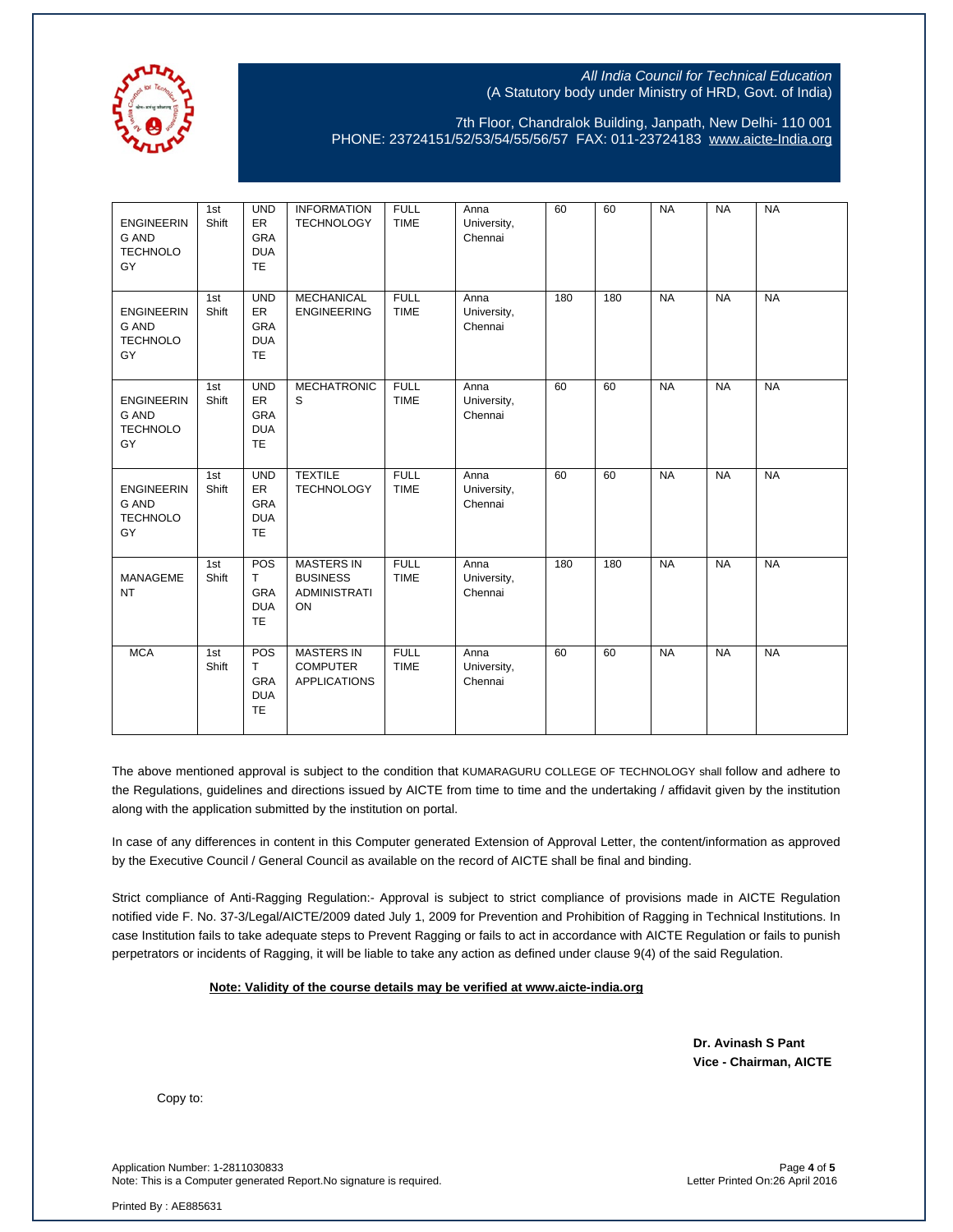

7th Floor, Chandralok Building, Janpath, New Delhi- 110 001 PHONE: 23724151/52/53/54/55/56/57 FAX: 011-23724183 [www.aicte-India.org](http://www.aicte-india.org/)

| <b>ENGINEERIN</b><br><b>G AND</b><br><b>TECHNOLO</b><br>GY | 1st<br>Shift | <b>UND</b><br>ER<br><b>GRA</b><br><b>DUA</b><br>TE               | <b>INFORMATION</b><br><b>TECHNOLOGY</b>                           | <b>FULL</b><br><b>TIME</b> | Anna<br>University,<br>Chennai | 60  | 60  | <b>NA</b> | <b>NA</b> | <b>NA</b> |
|------------------------------------------------------------|--------------|------------------------------------------------------------------|-------------------------------------------------------------------|----------------------------|--------------------------------|-----|-----|-----------|-----------|-----------|
| <b>ENGINEERIN</b><br><b>G AND</b><br><b>TECHNOLO</b><br>GY | 1st<br>Shift | <b>UND</b><br>ER<br>GRA<br><b>DUA</b><br><b>TE</b>               | <b>MECHANICAL</b><br><b>ENGINEERING</b>                           | <b>FULL</b><br><b>TIME</b> | Anna<br>University,<br>Chennai | 180 | 180 | <b>NA</b> | <b>NA</b> | <b>NA</b> |
| <b>ENGINEERIN</b><br><b>G AND</b><br><b>TECHNOLO</b><br>GY | 1st<br>Shift | <b>UND</b><br><b>ER</b><br><b>GRA</b><br><b>DUA</b><br><b>TE</b> | <b>MECHATRONIC</b><br>S                                           | <b>FULL</b><br><b>TIME</b> | Anna<br>University,<br>Chennai | 60  | 60  | <b>NA</b> | <b>NA</b> | <b>NA</b> |
| <b>ENGINEERIN</b><br><b>G AND</b><br><b>TECHNOLO</b><br>GY | 1st<br>Shift | <b>UND</b><br><b>ER</b><br><b>GRA</b><br><b>DUA</b><br><b>TE</b> | <b>TEXTILE</b><br><b>TECHNOLOGY</b>                               | <b>FULL</b><br><b>TIME</b> | Anna<br>University,<br>Chennai | 60  | 60  | <b>NA</b> | <b>NA</b> | <b>NA</b> |
| MANAGEME<br><b>NT</b>                                      | 1st<br>Shift | POS<br>T<br><b>GRA</b><br><b>DUA</b><br><b>TE</b>                | <b>MASTERS IN</b><br><b>BUSINESS</b><br><b>ADMINISTRATI</b><br>ON | <b>FULL</b><br><b>TIME</b> | Anna<br>University,<br>Chennai | 180 | 180 | <b>NA</b> | <b>NA</b> | <b>NA</b> |
| <b>MCA</b>                                                 | 1st<br>Shift | POS<br>$\mathsf{T}$<br>GRA<br><b>DUA</b><br><b>TE</b>            | <b>MASTERS IN</b><br><b>COMPUTER</b><br><b>APPLICATIONS</b>       | <b>FULL</b><br><b>TIME</b> | Anna<br>University,<br>Chennai | 60  | 60  | <b>NA</b> | <b>NA</b> | <b>NA</b> |

The above mentioned approval is subject to the condition that KUMARAGURU COLLEGE OF TECHNOLOGY shall follow and adhere to the Regulations, guidelines and directions issued by AICTE from time to time and the undertaking / affidavit given by the institution along with the application submitted by the institution on portal.

In case of any differences in content in this Computer generated Extension of Approval Letter, the content/information as approved by the Executive Council / General Council as available on the record of AICTE shall be final and binding.

Strict compliance of Anti-Ragging Regulation:- Approval is subject to strict compliance of provisions made in AICTE Regulation notified vide F. No. 37-3/Legal/AICTE/2009 dated July 1, 2009 for Prevention and Prohibition of Ragging in Technical Institutions. In case Institution fails to take adequate steps to Prevent Ragging or fails to act in accordance with AICTE Regulation or fails to punish perpetrators or incidents of Ragging, it will be liable to take any action as defined under clause 9(4) of the said Regulation.

#### **Note: Validity of the course details may be verified at www.aicte-india.org**

 **Dr. Avinash S Pant Vice - Chairman, AICTE**

Copy to:

Application Number: 1-2811030833 Page **4** of **5** Note: This is a Computer generated Report.No signature is required.